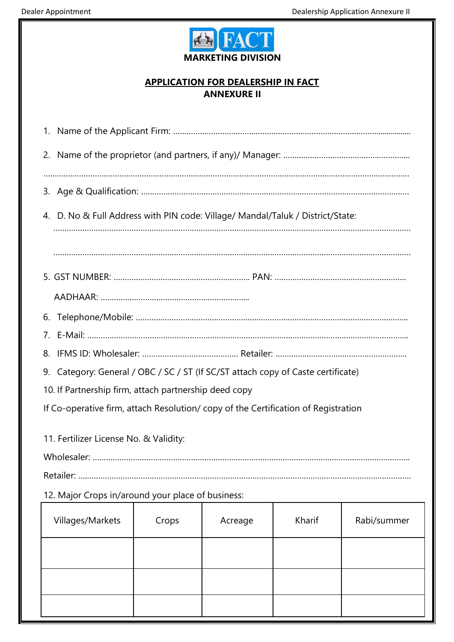

## **APPLICATION FOR DEALERSHIP IN FACT ANNEXURE II**

| 4. D. No & Full Address with PIN code: Village/ Mandal/Taluk / District/State:    |       |         |        |             |  |  |  |
|-----------------------------------------------------------------------------------|-------|---------|--------|-------------|--|--|--|
|                                                                                   |       |         |        |             |  |  |  |
|                                                                                   |       |         |        |             |  |  |  |
|                                                                                   |       |         |        |             |  |  |  |
|                                                                                   |       |         |        |             |  |  |  |
|                                                                                   |       |         |        |             |  |  |  |
|                                                                                   |       |         |        |             |  |  |  |
| 9. Category: General / OBC / SC / ST (If SC/ST attach copy of Caste certificate)  |       |         |        |             |  |  |  |
| 10. If Partnership firm, attach partnership deed copy                             |       |         |        |             |  |  |  |
| If Co-operative firm, attach Resolution/copy of the Certification of Registration |       |         |        |             |  |  |  |
|                                                                                   |       |         |        |             |  |  |  |
| 11. Fertilizer License No. & Validity:                                            |       |         |        |             |  |  |  |
|                                                                                   |       |         |        |             |  |  |  |
|                                                                                   |       |         |        |             |  |  |  |
| 12. Major Crops in/around your place of business:                                 |       |         |        |             |  |  |  |
| Villages/Markets                                                                  | Crops | Acreage | Kharif | Rabi/summer |  |  |  |
|                                                                                   |       |         |        |             |  |  |  |
|                                                                                   |       |         |        |             |  |  |  |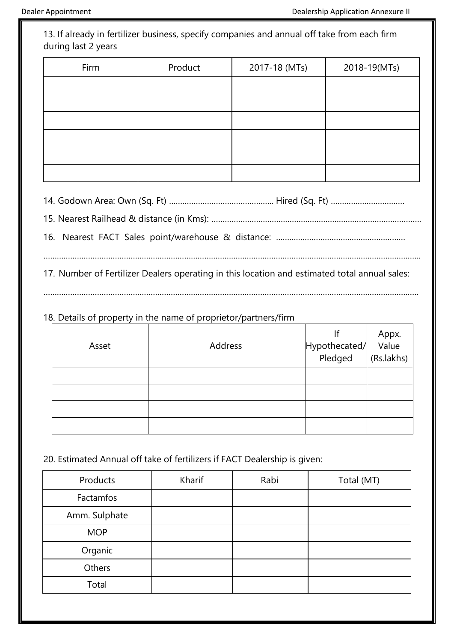13. If already in fertilizer business, specify companies and annual off take from each firm during last 2 years

| Firm | Product | 2017-18 (MTs) | 2018-19(MTs) |
|------|---------|---------------|--------------|
|      |         |               |              |
|      |         |               |              |
|      |         |               |              |
|      |         |               |              |
|      |         |               |              |
|      |         |               |              |

14. Godown Area: Own (Sq. Ft) ……………………………………….. Hired (Sq. Ft) ……………………………

15. Nearest Railhead & distance (in Kms): ………………………………………………………………………………….

16. Nearest FACT Sales point/warehouse & distance: ……….…………………………………………

…………………………………………………………………………………………………………………………………………………….

17. Number of Fertilizer Dealers operating in this location and estimated total annual sales:

. The same independent of the same independent of the same independent of the same independent of the same independent of the same independent of the same independent of the same independent of the same independent of the

## 18. Details of property in the name of proprietor/partners/firm

| Asset | Address | If Appx.<br> Hypothecated/ Value<br>  Pledged (Rs.lakhs) |  |
|-------|---------|----------------------------------------------------------|--|
|       |         |                                                          |  |
|       |         |                                                          |  |
|       |         |                                                          |  |
|       |         |                                                          |  |

20. Estimated Annual off take of fertilizers if FACT Dealership is given:

| Products      | Kharif | Rabi | Total (MT) |
|---------------|--------|------|------------|
| Factamfos     |        |      |            |
| Amm. Sulphate |        |      |            |
| <b>MOP</b>    |        |      |            |
| Organic       |        |      |            |
| Others        |        |      |            |
| Total         |        |      |            |